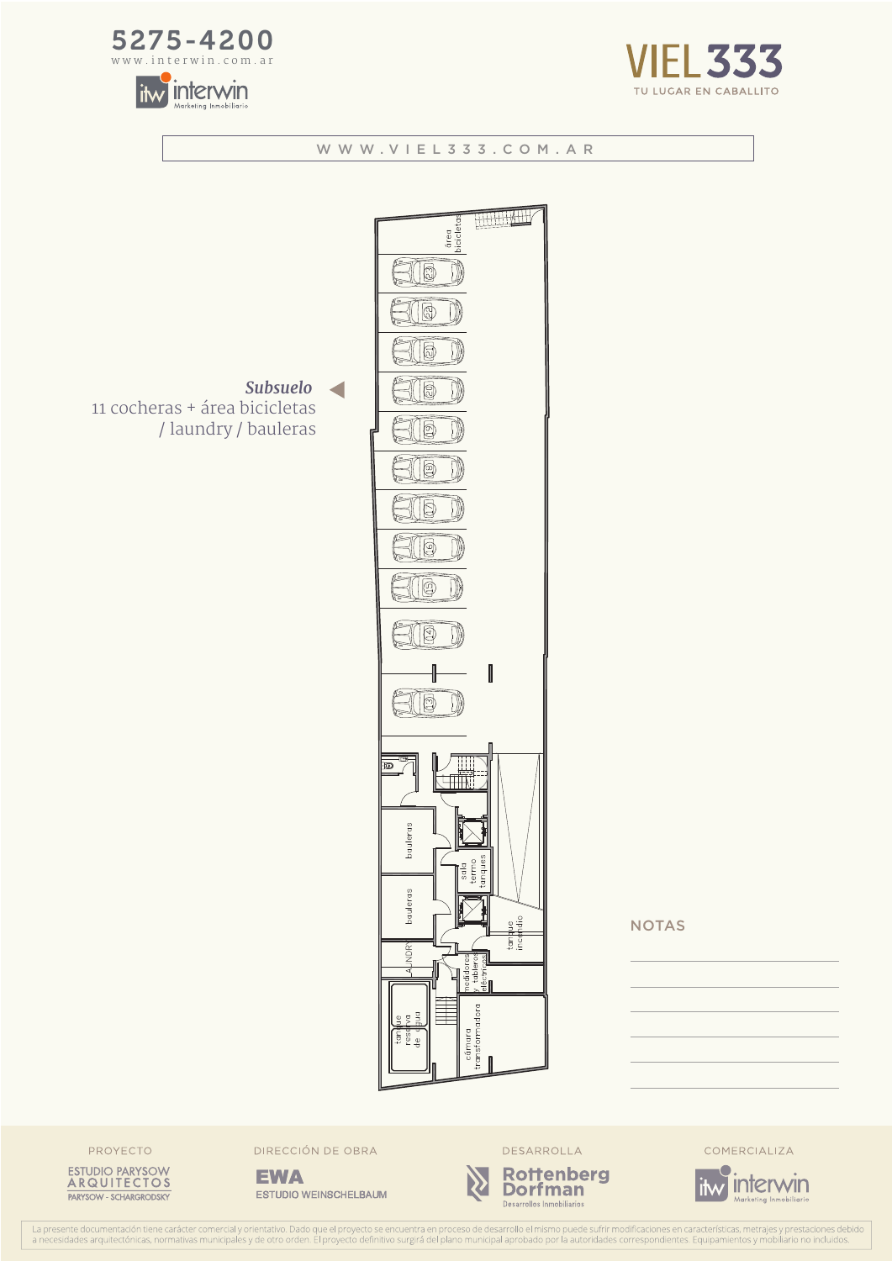







**NOTAS** 

PROYECTO



DIRECCIÓN DE OBRA

**EWA ESTUDIO WEINSCHELBAUM** 



Desarrollos Inmobiliarios

COMERCIALIZA

itw interwin

La presente documentación tiene carácter comercial y orientativo. Dado que el proyecto se encuentra en proceso de desarrollo el mismo puede sufrir modificaciones en características, metrajes y prestaciones debido a necesid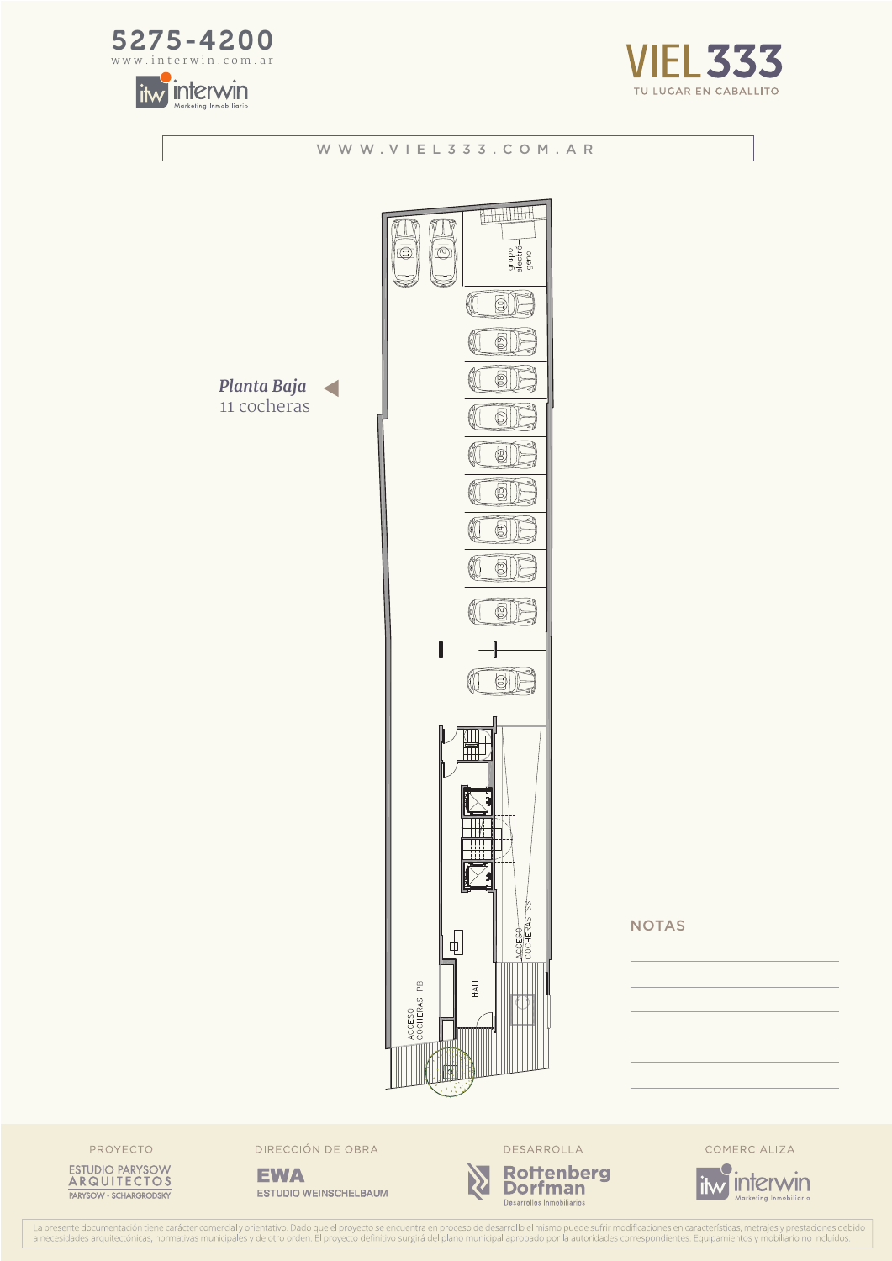





## WWW.VIEL333.COM.AR **THURHIDE** grupo<br>electró—<br>geno  $\overline{\mathbb{Q}}$ (三)  $\text{SN}$ € ® Planta Baja 11 cocheras  $\circ$ 6 61 61 ©|  $\circledS$ I **a** m h LCESO **NOTAS**  $\sqrt{\frac{1}{2}}$ ACCESO<br>COCHERAS PB HALL 俩

PROYECTO



DIRECCIÓN DE OBRA

**EWA ESTUDIO WEINSCHELBAUM** 





COMERCIALIZA



La presente documentación tiene carácter comercial y orientativo. Dado que el proyecto se encuentra en proceso de desarrollo el mismo puede sufrir modificaciones en características, metrajes y prestaciones debido a necesid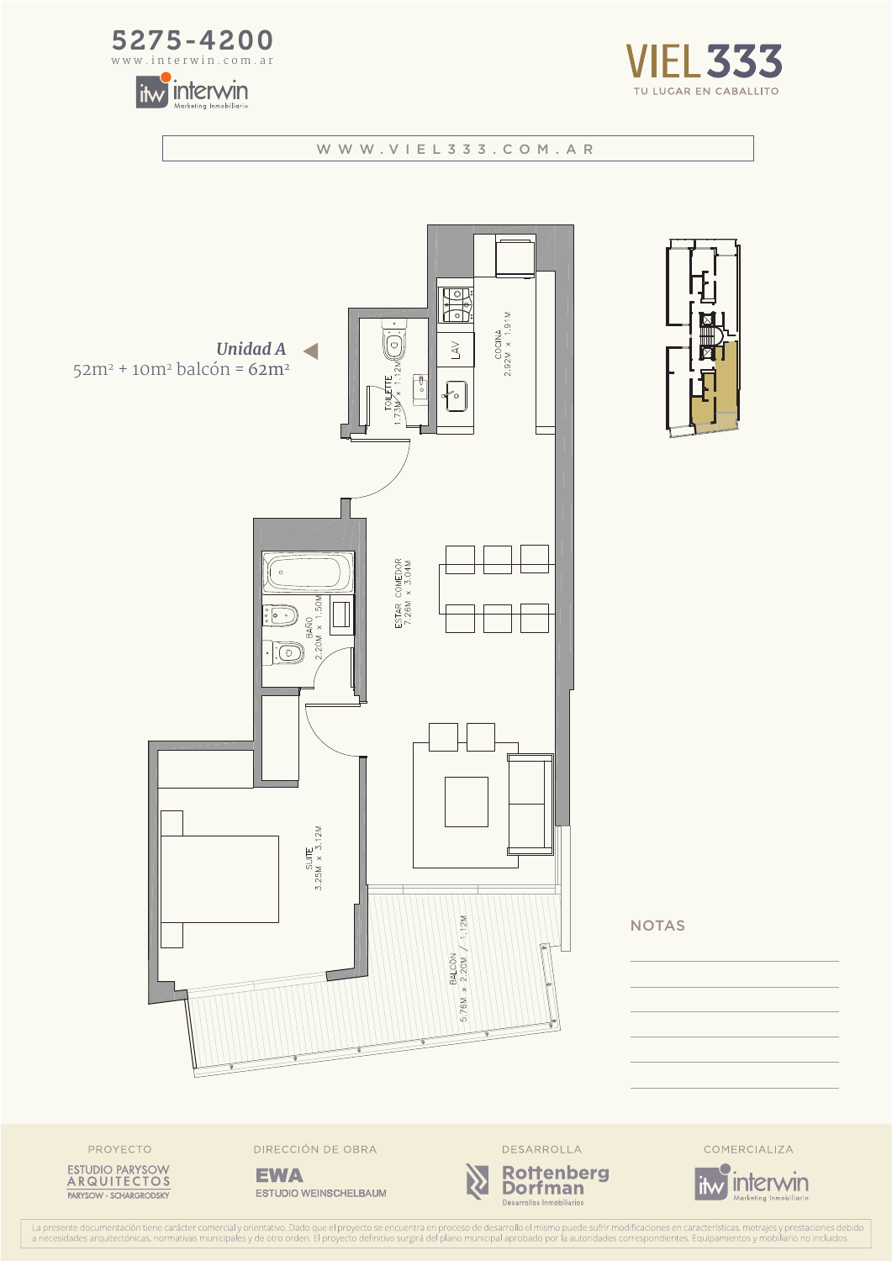









**NOTAS** 



DIRECCIÓN DE OBRA

**EWA** ESTUDIO WEINSCHELBAUM





COMERCIALIZA



La presente documentación tiene carácter comercial y orientativo. Dado que el proyecto se encuentra en proceso de desarrollo el mismo puede sufrir modificaciones en características, metrajes y prestaciones debido<br>a necesid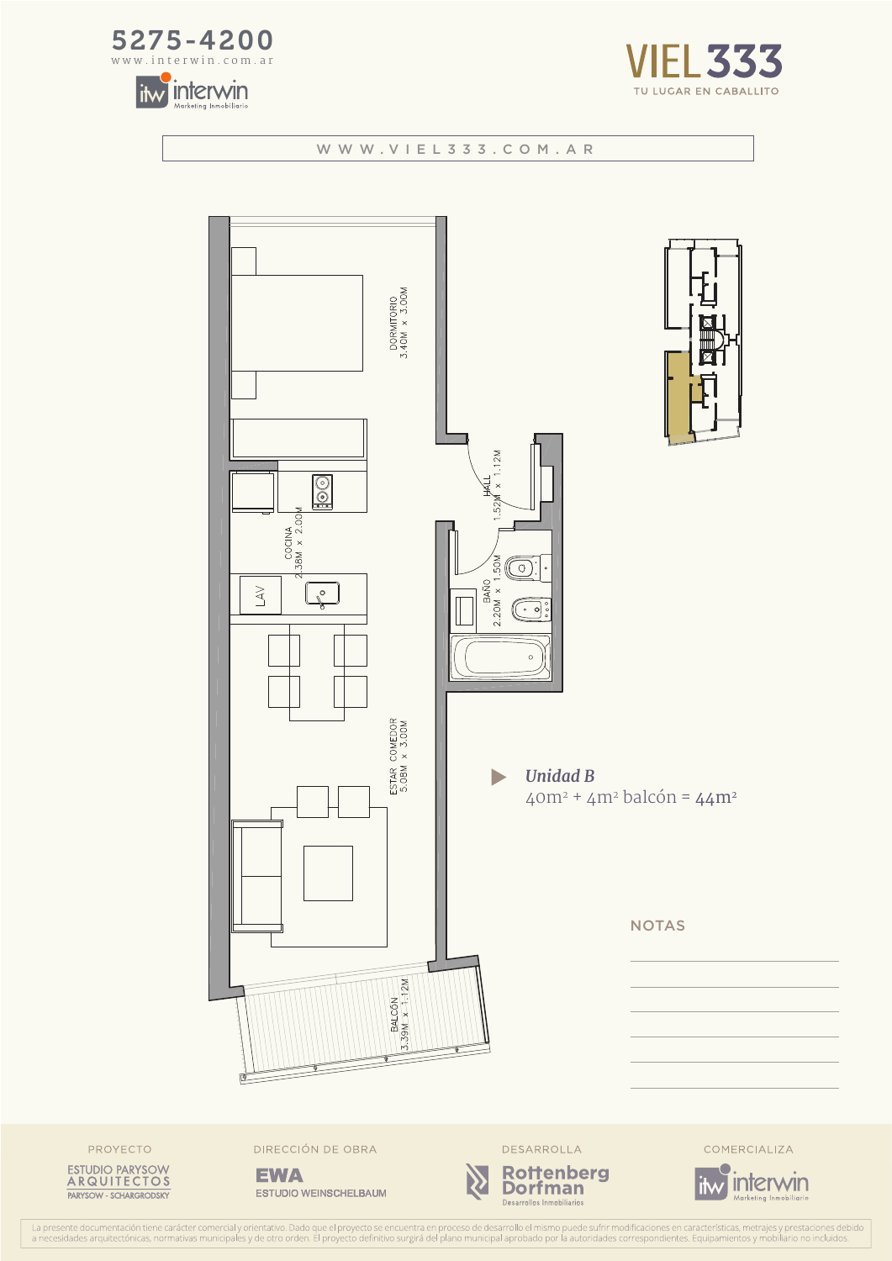







ESTUDIO PARYSOW<br>ARQUITECTOS PARYSOW - SCHARGRODSKY

PROYECTO

ESTUDIO WEINSCHELBAUM

Rottenberg<br>Dorfman

Desarrollos Inmobiliarios

![](_page_3_Picture_8.jpeg)

La presente documentación tiene carácter comercial y orientativo. Dado que el proyecto se encuentra en proceso de desarrollo el mismo puede sufrir modificaciones en características, metrajes y prestaciones debido<br>a necesid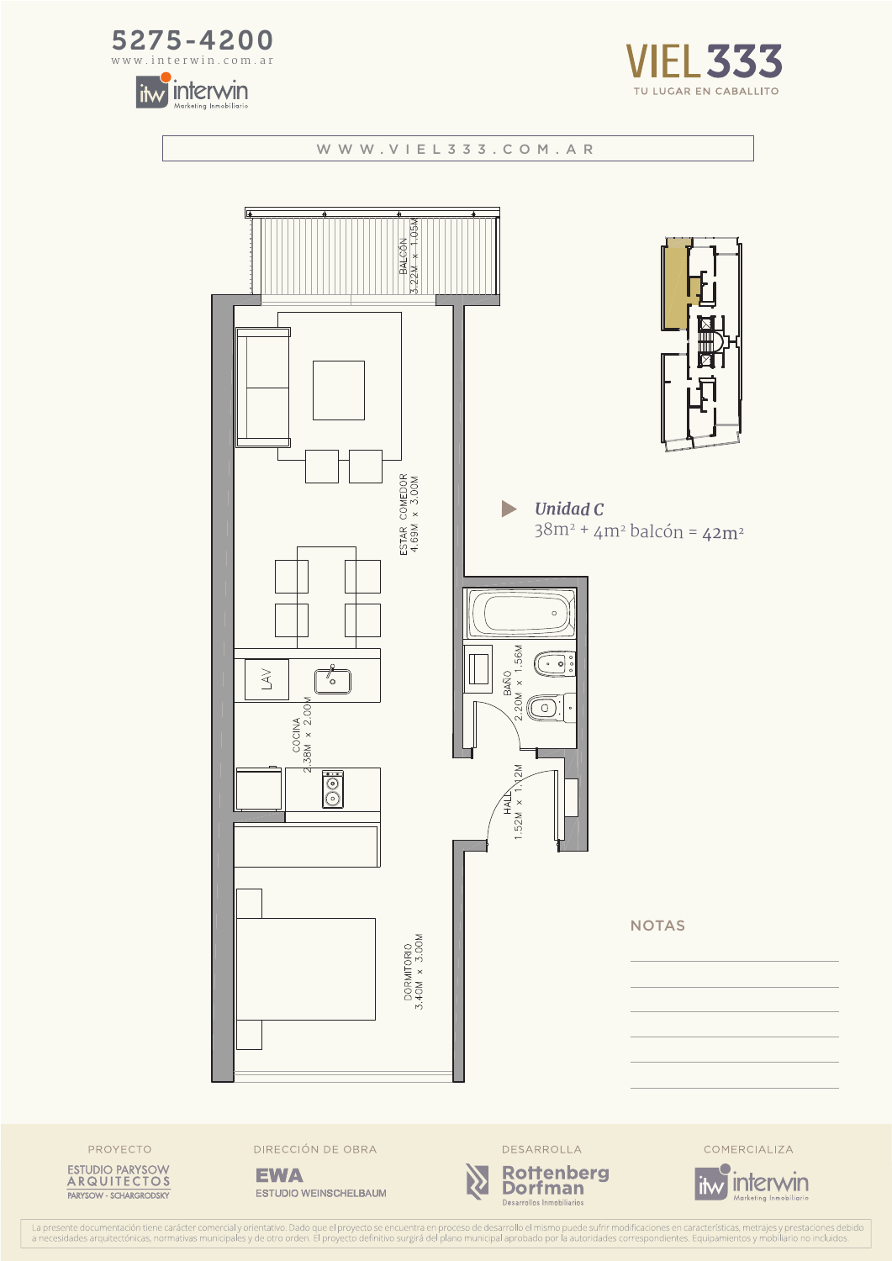![](_page_4_Picture_0.jpeg)

![](_page_4_Picture_1.jpeg)

![](_page_4_Picture_2.jpeg)

![](_page_4_Figure_4.jpeg)

![](_page_4_Picture_5.jpeg)

![](_page_4_Picture_6.jpeg)

DIRECCIÓN DE OBRA

**EWA** ESTUDIO WEINSCHELBAUM

![](_page_4_Picture_9.jpeg)

![](_page_4_Picture_10.jpeg)

COMERCIALIZA

![](_page_4_Picture_12.jpeg)

La presente documentación tiene carácter comercial y orientativo. Dado que el proyecto se encuentra en proceso de desarrollo el mismo puede sufrir modificaciones en características, metrajes y prestaciones debido<br>a necesid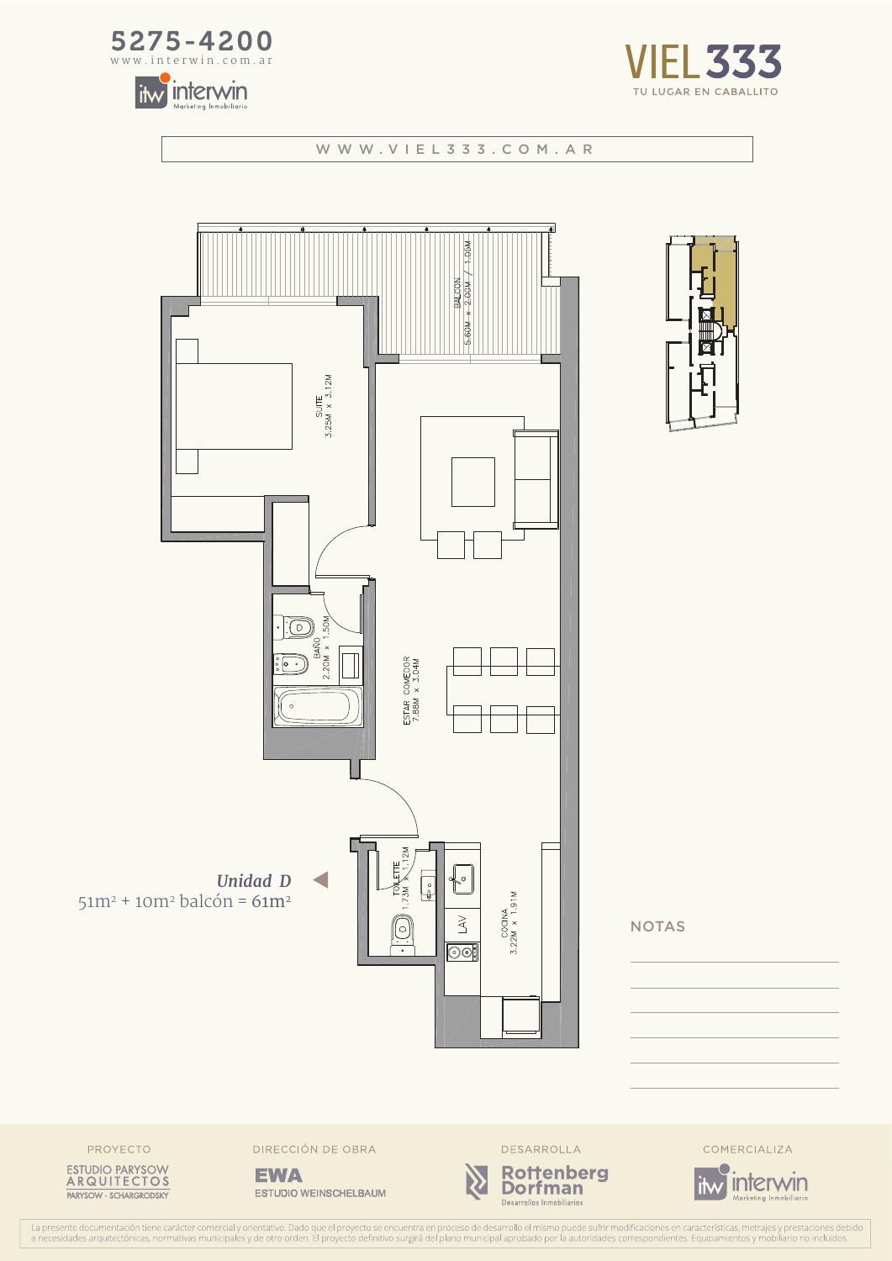![](_page_5_Picture_0.jpeg)

![](_page_5_Picture_1.jpeg)

![](_page_5_Picture_2.jpeg)

![](_page_5_Figure_4.jpeg)

![](_page_5_Figure_5.jpeg)

**NOTAS** 

![](_page_5_Picture_7.jpeg)

DIRECCIÓN DE OBRA

**EWA ESTUDIO WEINSCHELBAUM** 

![](_page_5_Picture_10.jpeg)

![](_page_5_Picture_11.jpeg)

COMERCIALIZA

![](_page_5_Picture_13.jpeg)

La presente documentación tiene carácter comercial y orientativo. Dado que el proyecto se encuentra en proceso de desarrollo el mismo puede sufrir modificaciones en características, metrajes y prestaciones debar a necesida es debido